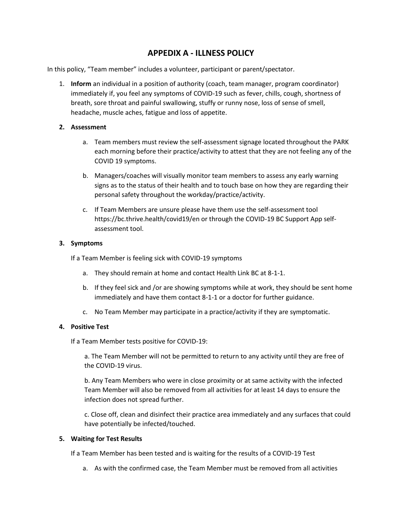# **APPEDIX A - ILLNESS POLICY**

In this policy, "Team member" includes a volunteer, participant or parent/spectator.

1. **Inform** an individual in a position of authority (coach, team manager, program coordinator) immediately if, you feel any symptoms of COVID-19 such as fever, chills, cough, shortness of breath, sore throat and painful swallowing, stuffy or runny nose, loss of sense of smell, headache, muscle aches, fatigue and loss of appetite.

# **2. Assessment**

- a. Team members must review the self-assessment signage located throughout the PARK each morning before their practice/activity to attest that they are not feeling any of the COVID 19 symptoms.
- b. Managers/coaches will visually monitor team members to assess any early warning signs as to the status of their health and to touch base on how they are regarding their personal safety throughout the workday/practice/activity.
- c. If Team Members are unsure please have them use the self-assessment tool https://bc.thrive.health/covid19/en or through the COVID-19 BC Support App selfassessment tool.

# **3. Symptoms**

If a Team Member is feeling sick with COVID-19 symptoms

- a. They should remain at home and contact Health Link BC at 8-1-1.
- b. If they feel sick and /or are showing symptoms while at work, they should be sent home immediately and have them contact 8-1-1 or a doctor for further guidance.
- c. No Team Member may participate in a practice/activity if they are symptomatic.

### **4. Positive Test**

If a Team Member tests positive for COVID-19:

a. The Team Member will not be permitted to return to any activity until they are free of the COVID-19 virus.

b. Any Team Members who were in close proximity or at same activity with the infected Team Member will also be removed from all activities for at least 14 days to ensure the infection does not spread further.

c. Close off, clean and disinfect their practice area immediately and any surfaces that could have potentially be infected/touched.

### **5. Waiting for Test Results**

If a Team Member has been tested and is waiting for the results of a COVID-19 Test

a. As with the confirmed case, the Team Member must be removed from all activities